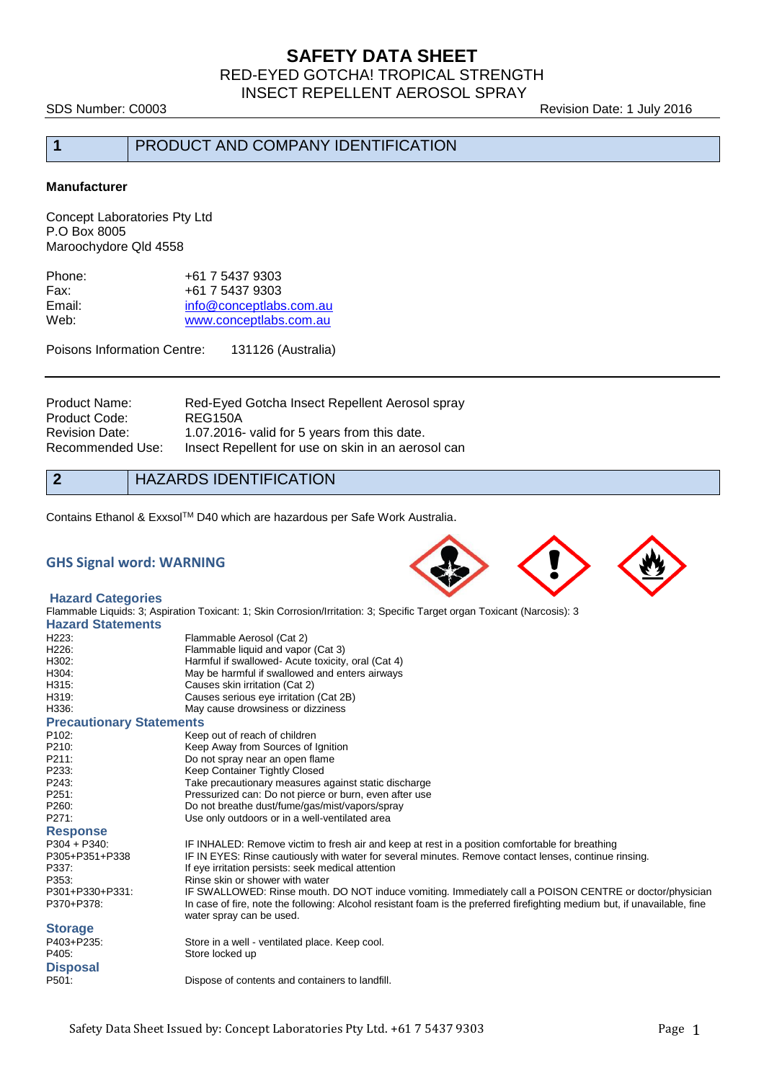# **SAFETY DATA SHEET**

RED-EYED GOTCHA! TROPICAL STRENGTH INSECT REPELLENT AEROSOL SPRAY

SDS Number: C0003 **Revision Date: 1 July 2016** 

## **1** PRODUCT AND COMPANY IDENTIFICATION

#### **Manufacturer**

Concept Laboratories Pty Ltd P.O Box 8005 Maroochydore Qld 4558

| +61 7 5437 9303         |
|-------------------------|
| +61 7 5437 9303         |
| info@conceptlabs.com.au |
| www.conceptlabs.com.au  |
|                         |

Poisons Information Centre: 131126 (Australia)

| Product Name:    | Red-Eyed Gotcha Insect Repellent Aerosol spray     |
|------------------|----------------------------------------------------|
| Product Code:    | REG150A                                            |
| Revision Date:   | 1.07.2016- valid for 5 years from this date.       |
| Recommended Use: | Insect Repellent for use on skin in an aerosol can |

## **2** HAZARDS IDENTIFICATION

Contains Ethanol & Exxsol™ D40 which are hazardous per Safe Work Australia.

### **GHS Signal word: WARNING**



#### **Hazard Categories**

Flammable Liquids: 3; Aspiration Toxicant: 1; Skin Corrosion/Irritation: 3; Specific Target organ Toxicant (Narcosis): 3 **Hazard Statements** H223: Flammable Aerosol (Cat 2)<br>H226: Flammable liquid and vapo Flammable liquid and vapor (Cat 3) H302: Harmful if swallowed- Acute toxicity, oral (Cat 4)<br>H304: H304: Harmful if swallowed and enters airways H304: May be harmful if swallowed and enters airways<br>
H315: Causes skin irritation (Cat 2) Causes skin irritation (Cat 2) H319: Causes serious eye irritation (Cat 2B)<br>H336: May cause drowsiness or dizziness May cause drowsiness or dizziness

**Precautionary Statements** P102: Keep out of reach of children<br>P210: Keep Away from Sources of I Keep Away from Sources of Ignition P211: Do not spray near an open flame<br>
P233: Seep Container Tightly Closed Keep Container Tightly Closed P243: Take precautionary measures against static discharge P251: Pressurized can: Do not pierce or burn, even after use<br>P260: Do not breathe dust/fume/gas/mist/vapors/spray Do not breathe dust/fume/gas/mist/vapors/spray P271: Use only outdoors or in a well-ventilated area **Response** P304 + P340: IF INHALED: Remove victim to fresh air and keep at rest in a position comfortable for breathing<br>P305+P351+P338 IF IN EYES: Rinse cautiously with water for several minutes. Remove contact lenses, continue r IF IN EYES: Rinse cautiously with water for several minutes. Remove contact lenses, continue rinsing. P337: If eye irritation persists: seek medical attention<br>P353: Rinse skin or shower with water P353: P353: Rinse skin or shower with water<br>P301+P330+P331: IF SWALLOWED: Rinse mouth. P301+P330+P331: IF SWALLOWED: Rinse mouth. DO NOT induce vomiting. Immediately call a POISON CENTRE or doctor/physician<br>P370+P378: In case of fire, note the following: Alcohol resistant foam is the preferred firefighting m In case of fire, note the following: Alcohol resistant foam is the preferred firefighting medium but, if unavailable, fine water spray can be used. **Storage**<br>P403+P235: Store in a well - ventilated place. Keep cool. P405: Store locked up **Disposal** Dispose of contents and containers to landfill.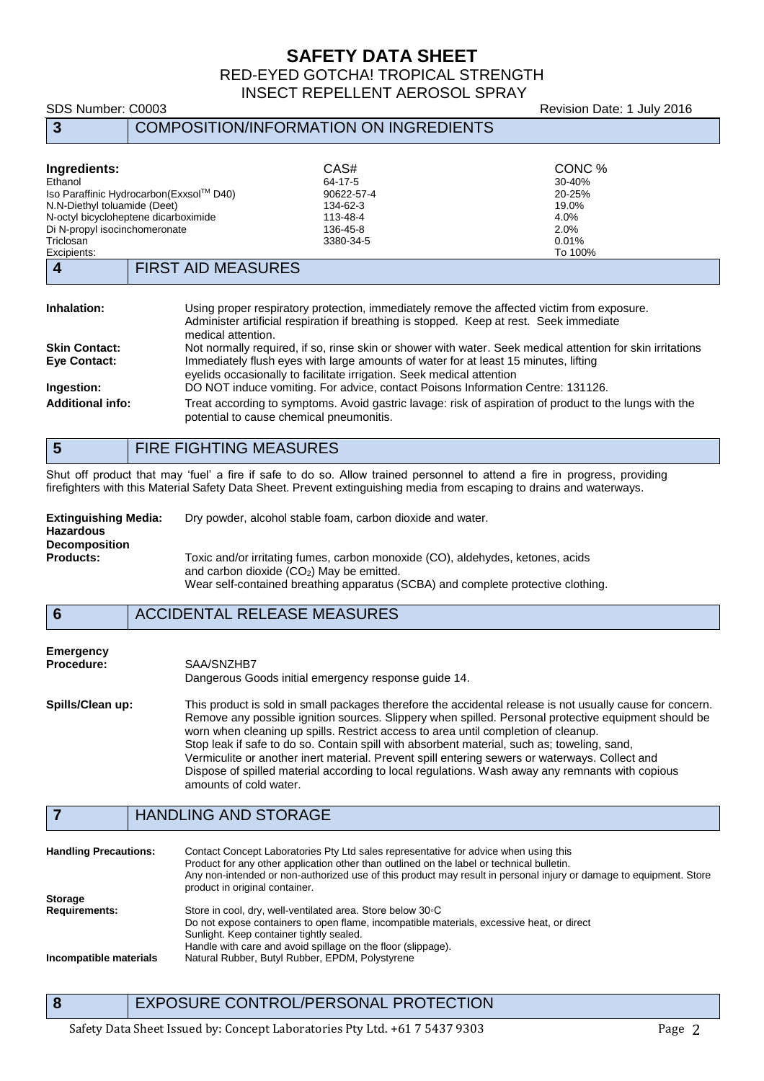# **SAFETY DATA SHEET**

RED-EYED GOTCHA! TROPICAL STRENGTH INSECT REPELLENT AEROSOL SPRAY

# **3** COMPOSITION/INFORMATION ON INGREDIENTS

SDS Number: C0003 **Revision Date: 1 July 2016** 

| Ingredients:                         |                                                                                                                                                                                                                                                                            | CAS#                                                                                                                                               | CONC %  |
|--------------------------------------|----------------------------------------------------------------------------------------------------------------------------------------------------------------------------------------------------------------------------------------------------------------------------|----------------------------------------------------------------------------------------------------------------------------------------------------|---------|
| Ethanol                              |                                                                                                                                                                                                                                                                            | 64-17-5                                                                                                                                            | 30-40%  |
|                                      | Iso Paraffinic Hydrocarbon (Exxsol™ D40)                                                                                                                                                                                                                                   | 90622-57-4                                                                                                                                         | 20-25%  |
| N.N-Diethyl toluamide (Deet)         |                                                                                                                                                                                                                                                                            | 134-62-3                                                                                                                                           | 19.0%   |
|                                      | N-octyl bicycloheptene dicarboximide                                                                                                                                                                                                                                       | 113-48-4                                                                                                                                           | 4.0%    |
| Di N-propyl isocinchomeronate        |                                                                                                                                                                                                                                                                            | 136-45-8                                                                                                                                           | 2.0%    |
| Triclosan                            |                                                                                                                                                                                                                                                                            | 3380-34-5                                                                                                                                          | 0.01%   |
| Excipients:                          |                                                                                                                                                                                                                                                                            |                                                                                                                                                    | To 100% |
| $\boldsymbol{4}$                     | <b>FIRST AID MEASURES</b>                                                                                                                                                                                                                                                  |                                                                                                                                                    |         |
| Inhalation:                          | Using proper respiratory protection, immediately remove the affected victim from exposure.<br>Administer artificial respiration if breathing is stopped. Keep at rest. Seek immediate                                                                                      |                                                                                                                                                    |         |
|                                      | medical attention.                                                                                                                                                                                                                                                         |                                                                                                                                                    |         |
| <b>Skin Contact:</b><br>Eye Contact: | Not normally required, if so, rinse skin or shower with water. Seek medical attention for skin irritations<br>Immediately flush eyes with large amounts of water for at least 15 minutes, lifting<br>eyelids occasionally to facilitate irrigation. Seek medical attention |                                                                                                                                                    |         |
| Ingestion:                           |                                                                                                                                                                                                                                                                            | DO NOT induce vomiting. For advice, contact Poisons Information Centre: 131126.                                                                    |         |
| <b>Additional info:</b>              |                                                                                                                                                                                                                                                                            | Treat according to symptoms. Avoid gastric lavage: risk of aspiration of product to the lungs with the<br>potential to cause chemical pneumonitis. |         |

|  | <b>FIRE FIGHTING MEASURES</b> |
|--|-------------------------------|
|--|-------------------------------|

Shut off product that may 'fuel' a fire if safe to do so. Allow trained personnel to attend a fire in progress, providing firefighters with this Material Safety Data Sheet. Prevent extinguishing media from escaping to drains and waterways.

| <b>Extinguishing Media:</b><br><b>Hazardous</b> | Dry powder, alcohol stable foam, carbon dioxide and water.                                                                                                                                                       |
|-------------------------------------------------|------------------------------------------------------------------------------------------------------------------------------------------------------------------------------------------------------------------|
| <b>Decomposition</b>                            |                                                                                                                                                                                                                  |
| <b>Products:</b>                                | Toxic and/or irritating fumes, carbon monoxide (CO), aldehydes, ketones, acids<br>and carbon dioxide $(CO2)$ May be emitted.<br>Wear self-contained breathing apparatus (SCBA) and complete protective clothing. |

# **6** ACCIDENTAL RELEASE MEASURES

| <b>Emergency</b>  |                                                                                                           |
|-------------------|-----------------------------------------------------------------------------------------------------------|
| <b>Procedure:</b> | SAA/SNZHB7                                                                                                |
|                   | Dangerous Goods initial emergency response quide 14.                                                      |
| Spills/Clean up:  | This product is sold in small packages therefore the accidental release is not usually cause for concern. |
|                   | Remove any possible ignition sources. Slippery when spilled. Personal protective equipment should be      |
|                   | worn when cleaning up spills. Restrict access to area until completion of cleanup.                        |
|                   | Stop leak if safe to do so. Contain spill with absorbent material, such as; toweling, sand,               |
|                   | Vermiculite or another inert material. Prevent spill entering sewers or waterways. Collect and            |
|                   | Dispose of spilled material according to local regulations. Wash away any remnants with copious           |
|                   | amounts of cold water.                                                                                    |

## **7** HANDLING AND STORAGE

| <b>Handling Precautions:</b> | Contact Concept Laboratories Pty Ltd sales representative for advice when using this<br>Product for any other application other than outlined on the label or technical bulletin.<br>Any non-intended or non-authorized use of this product may result in personal injury or damage to equipment. Store<br>product in original container. |
|------------------------------|-------------------------------------------------------------------------------------------------------------------------------------------------------------------------------------------------------------------------------------------------------------------------------------------------------------------------------------------|
| <b>Storage</b>               |                                                                                                                                                                                                                                                                                                                                           |
| <b>Requirements:</b>         | Store in cool, dry, well-ventilated area. Store below 30 °C                                                                                                                                                                                                                                                                               |
|                              | Do not expose containers to open flame, incompatible materials, excessive heat, or direct                                                                                                                                                                                                                                                 |
|                              | Sunlight. Keep container tightly sealed.                                                                                                                                                                                                                                                                                                  |
|                              | Handle with care and avoid spillage on the floor (slippage).                                                                                                                                                                                                                                                                              |
| Incompatible materials       | Natural Rubber, Butyl Rubber, EPDM, Polystyrene                                                                                                                                                                                                                                                                                           |

**8** EXPOSURE CONTROL/PERSONAL PROTECTION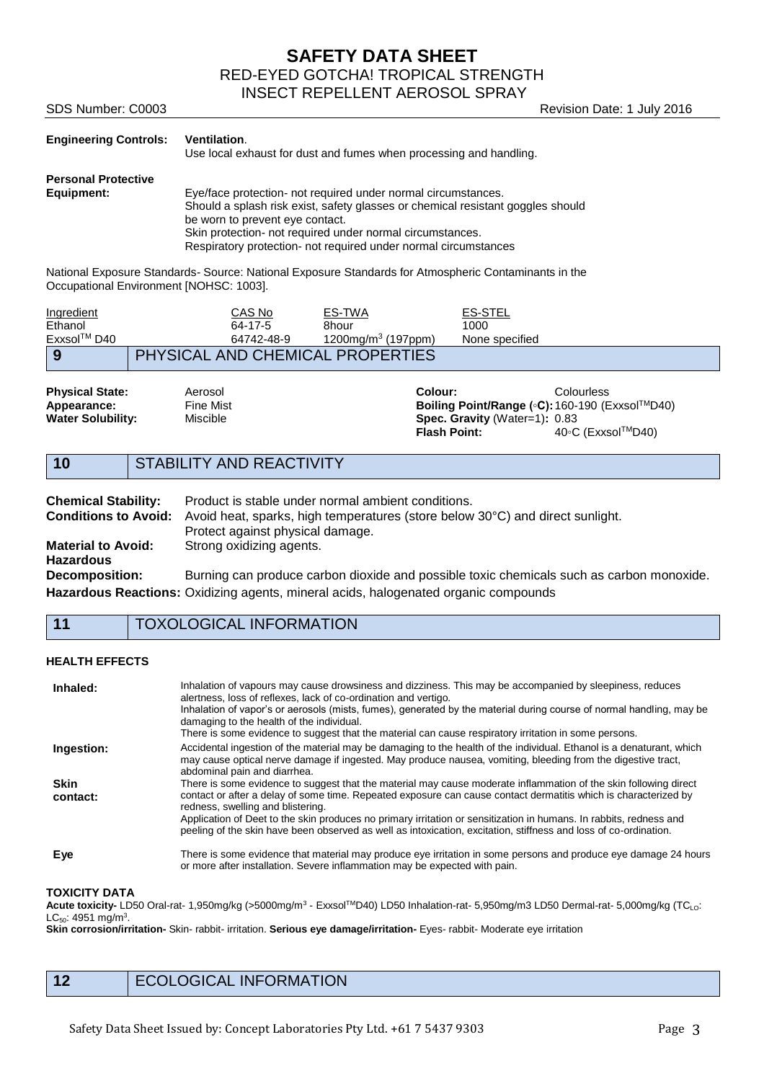**SAFETY DATA SHEET**

RED-EYED GOTCHA! TROPICAL STRENGTH

Revision Date: 1 July 2016

INSECT REPELLENT AEROSOL SPRAY

| SDS Number: C0003 |  |
|-------------------|--|
|                   |  |

| <b>Engineering Controls:</b> | <b>Ventilation.</b><br>Use local exhaust for dust and fumes when processing and handling. |
|------------------------------|-------------------------------------------------------------------------------------------|
| <b>Personal Protective</b>   |                                                                                           |
| Equipment:                   | Eye/face protection- not required under normal circumstances.                             |
|                              | Should a splash risk exist, safety glasses or chemical resistant goggles should           |
|                              | be worn to prevent eye contact.                                                           |
|                              | Skin protection- not required under normal circumstances.                                 |
|                              | Respiratory protection- not required under normal circumstances                           |

National Exposure Standards- Source: National Exposure Standards for Atmospheric Contaminants in the Occupational Environment [NOHSC: 1003].

| Ingredient  | CAS No                                  | ES-TWA                      | <b>ES-STEL</b> |  |
|-------------|-----------------------------------------|-----------------------------|----------------|--|
| Ethanol     | 64-17-5                                 | 8hour                       | 1000           |  |
| Exxsol™ D40 | 64742-48-9                              | $1200$ ma/m $3(197$ ppm $)$ | None specified |  |
| 9           | <b>PHYSICAL AND CHEMICAL PROPERTIES</b> |                             |                |  |

**Physical State:** Aerosol **Colour:** Colourless **Appearance:** Fine Mist **Boiling Point/Range (◦C):** 160-190 (Exxsol™D40) **Water Solubility:** Miscible **Boiling Point/Range** (◦C): 160-190 (Exxsol™D40) **Spec. Gravity** (Water=1): 0.83<br>**Flash Point:** 40<sup>°</sup>C **Flash Point:** 40◦C (ExxsolTMD40)

# **10** STABILITY AND REACTIVITY

| <b>Chemical Stability:</b> | Product is stable under normal ambient conditions.                                                        |
|----------------------------|-----------------------------------------------------------------------------------------------------------|
|                            | <b>Conditions to Avoid:</b> Avoid heat, sparks, high temperatures (store below 30°C) and direct sunlight. |
|                            | Protect against physical damage.                                                                          |
| <b>Material to Avoid:</b>  | Strong oxidizing agents.                                                                                  |
| <b>Hazardous</b>           |                                                                                                           |
| <b>Decomposition:</b>      | Burning can produce carbon dioxide and possible toxic chemicals such as carbon monoxide.                  |
|                            | Hazardous Reactions: Oxidizing agents, mineral acids, halogenated organic compounds                       |

## **11** TOXOLOGICAL INFORMATION

#### **HEALTH EFFECTS**

| Inhaled:                | Inhalation of vapours may cause drowsiness and dizziness. This may be accompanied by sleepiness, reduces<br>alertness, loss of reflexes, lack of co-ordination and vertigo.<br>Inhalation of vapor's or aerosols (mists, fumes), generated by the material during course of normal handling, may be<br>damaging to the health of the individual.<br>There is some evidence to suggest that the material can cause respiratory irritation in some persons.                                                          |
|-------------------------|--------------------------------------------------------------------------------------------------------------------------------------------------------------------------------------------------------------------------------------------------------------------------------------------------------------------------------------------------------------------------------------------------------------------------------------------------------------------------------------------------------------------|
| Ingestion:              | Accidental ingestion of the material may be damaging to the health of the individual. Ethanol is a denaturant, which<br>may cause optical nerve damage if ingested. May produce nausea, vomiting, bleeding from the digestive tract,<br>abdominal pain and diarrhea.                                                                                                                                                                                                                                               |
| <b>Skin</b><br>contact: | There is some evidence to suggest that the material may cause moderate inflammation of the skin following direct<br>contact or after a delay of some time. Repeated exposure can cause contact dermatitis which is characterized by<br>redness, swelling and blistering.<br>Application of Deet to the skin produces no primary irritation or sensitization in humans. In rabbits, redness and<br>peeling of the skin have been observed as well as intoxication, excitation, stiffness and loss of co-ordination. |
| Eye                     | There is some evidence that material may produce eye irritation in some persons and produce eye damage 24 hours<br>or more after installation. Severe inflammation may be expected with pain.                                                                                                                                                                                                                                                                                                                      |

### **TOXICITY DATA**

**Acute toxicity-** LD50 Oral-rat- 1,950mg/kg (>5000mg/m<sup>3</sup> - Exxsol™D40) LD50 Inhalation-rat- 5,950mg/m3 LD50 Dermal-rat- 5,000mg/kg (TC<sub>LO</sub>:  $\mathsf{LC}_{50}$ : 4951 mg/m $^3$ .

**Skin corrosion/irritation-** Skin- rabbit- irritation. **Serious eye damage/irritation-** Eyes- rabbit- Moderate eye irritation

12 ECOLOGICAL INFORMATION